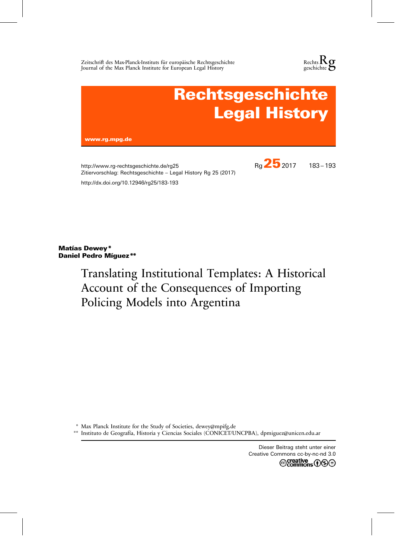Zeitschrift des Max-Planck-Instituts für europäische Rechtsgeschichte Journal of the Max Planck Institute for European Legal History





http://www.rg-rechtsgeschichte.de/rg25 Zitiervorschlag: Rechtsgeschichte – Legal History Rg 25 (2017) http://dx.doi.org/10.12946/rg25/183-193

Matías Dewey \* Daniel Pedro Míguez \*\*

# Translating Institutional Templates: A Historical Account of the Consequences of Importing Policing Models into Argentina

\* Max Planck Institute for the Study of Societies, dewey@mpifg.de

\*\* Instituto de Geografía, Historia y Ciencias Sociales (CONICET/UNCPBA), dpmiguez@unicen.edu.ar

Dieser Beitrag steht unter einer Creative Commons cc-by-nc-nd 3.0@creative<br>©commons ①S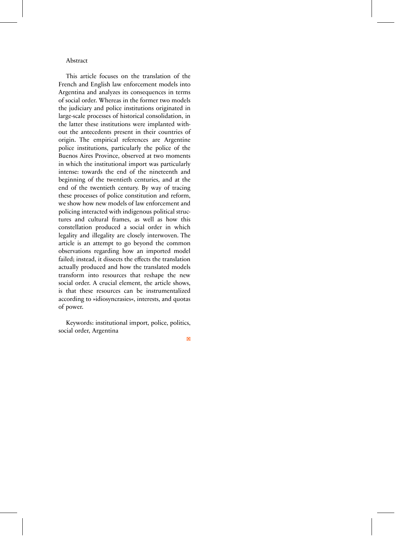# Abstract

This article focuses on the translation of the French and English law enforcement models into Argentina and analyzes its consequences in terms of social order. Whereas in the former two models the judiciary and police institutions originated in large-scale processes of historical consolidation, in the latter these institutions were implanted without the antecedents present in their countries of origin. The empirical references are Argentine police institutions, particularly the police of the Buenos Aires Province, observed at two moments in which the institutional import was particularly intense: towards the end of the nineteenth and beginning of the twentieth centuries, and at the end of the twentieth century. By way of tracing these processes of police constitution and reform, we show how new models of law enforcement and policing interacted with indigenous political structures and cultural frames, as well as how this constellation produced a social order in which legality and illegality are closely interwoven. The article is an attempt to go beyond the common observations regarding how an imported model failed; instead, it dissects the effects the translation actually produced and how the translated models transform into resources that reshape the new social order. A crucial element, the article shows, is that these resources can be instrumentalized according to »idiosyncrasies«, interests, and quotas of power.

Keywords: institutional import, police, politics, social order, Argentina

□×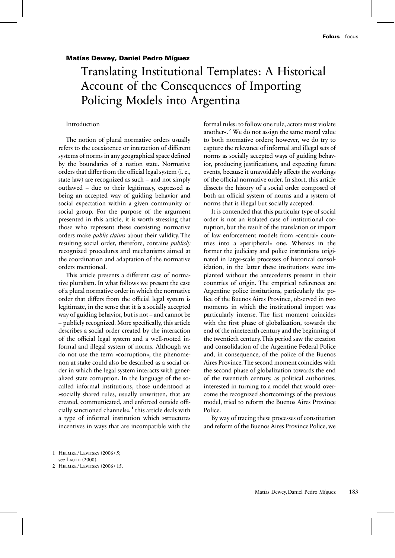#### Matías Dewey, Daniel Pedro Míguez

# Translating Institutional Templates: A Historical Account of the Consequences of Importing Policing Models into Argentina

#### Introduction

The notion of plural normative orders usually refers to the coexistence or interaction of different systems of norms in any geographical space defined by the boundaries of a nation state. Normative orders that differ from the official legal system (i. e., state law) are recognized as such – and not simply outlawed – due to their legitimacy, expressed as being an accepted way of guiding behavior and social expectation within a given community or social group. For the purpose of the argument presented in this article, it is worth stressing that those who represent these coexisting normative orders make *public claims* about their validity. The resulting social order, therefore, contains *publicly* recognized procedures and mechanisms aimed at the coordination and adaptation of the normative orders mentioned.

This article presents a different case of normative pluralism. In what follows we present the case of a plural normative order in which the normative order that differs from the official legal system is legitimate, in the sense that it is a socially accepted way of guiding behavior, but is not – and cannot be – publicly recognized. More specifically, this article describes a social order created by the interaction of the official legal system and a well-rooted informal and illegal system of norms. Although we do not use the term »corruption«, the phenomenon at stake could also be described as a social order in which the legal system interacts with generalized state corruption. In the language of the socalled informal institutions, those understood as »socially shared rules, usually unwritten, that are created, communicated, and enforced outside officially sanctioned channels«,**<sup>1</sup>** this article deals with a type of informal institution which »structures incentives in ways that are incompatible with the

formal rules: to follow one rule, actors must violate another«.**<sup>2</sup>** We do not assign the same moral value to both normative orders; however, we do try to capture the relevance of informal and illegal sets of norms as socially accepted ways of guiding behavior, producing justifications, and expecting future events, because it unavoidably affects the workings of the official normative order. In short, this article dissects the history of a social order composed of both an official system of norms and a system of norms that is illegal but socially accepted.

It is contended that this particular type of social order is not an isolated case of institutional corruption, but the result of the translation or import of law enforcement models from »central« countries into a »peripheral« one. Whereas in the former the judiciary and police institutions originated in large-scale processes of historical consolidation, in the latter these institutions were implanted without the antecedents present in their countries of origin. The empirical references are Argentine police institutions, particularly the police of the Buenos Aires Province, observed in two moments in which the institutional import was particularly intense. The first moment coincides with the first phase of globalization, towards the end of the nineteenth century and the beginning of the twentieth century. This period saw the creation and consolidation of the Argentine Federal Police and, in consequence, of the police of the Buenos Aires Province.The second moment coincides with the second phase of globalization towards the end of the twentieth century, as political authorities, interested in turning to a model that would overcome the recognized shortcomings of the previous model, tried to reform the Buenos Aires Province Police.

By way of tracing these processes of constitution and reform of the Buenos Aires Province Police, we

<sup>1</sup> Helmke / Levitsky (2006) 5;

see Lauth (2000).

<sup>2</sup> HELMKE/LEVITSKY (2006) 15.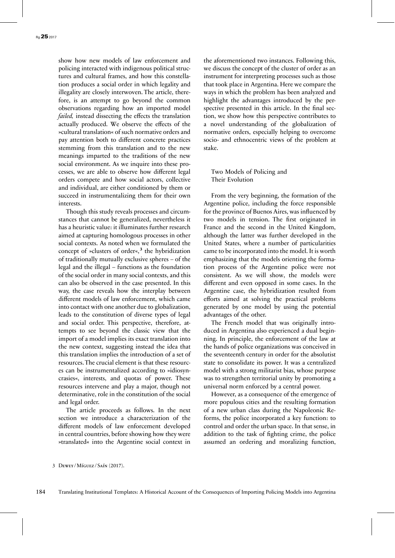show how new models of law enforcement and policing interacted with indigenous political structures and cultural frames, and how this constellation produces a social order in which legality and illegality are closely interwoven. The article, therefore, is an attempt to go beyond the common observations regarding how an imported model *failed,* instead dissecting the effects the translation actually produced. We observe the effects of the »cultural translation« of such normative orders and pay attention both to different concrete practices stemming from this translation and to the new meanings imparted to the traditions of the new social environment. As we inquire into these processes, we are able to observe how different legal orders compete and how social actors, collective and individual, are either conditioned by them or succeed in instrumentalizing them for their own interests.

Though this study reveals processes and circumstances that cannot be generalized, nevertheless it has a heuristic value: it illuminates further research aimed at capturing homologous processes in other social contexts. As noted when we formulated the concept of »clusters of order«,**<sup>3</sup>** the hybridization of traditionally mutually exclusive spheres – of the legal and the illegal – functions as the foundation of the social order in many social contexts, and this can also be observed in the case presented. In this way, the case reveals how the interplay between different models of law enforcement, which came into contact with one another due to globalization, leads to the constitution of diverse types of legal and social order. This perspective, therefore, attempts to see beyond the classic view that the import of a model implies its exact translation into the new context, suggesting instead the idea that this translation implies the introduction of a set of resources.The crucial element is that these resources can be instrumentalized according to »idiosyncrasies«, interests, and quotas of power. These resources intervene and play a major, though not determinative, role in the constitution of the social and legal order.

The article proceeds as follows. In the next section we introduce a characterization of the different models of law enforcement developed in central countries, before showing how they were »translated« into the Argentine social context in the aforementioned two instances. Following this, we discuss the concept of the cluster of order as an instrument for interpreting processes such as those that took place in Argentina. Here we compare the ways in which the problem has been analyzed and highlight the advantages introduced by the perspective presented in this article. In the final section, we show how this perspective contributes to a novel understanding of the globalization of normative orders, especially helping to overcome socio- and ethnocentric views of the problem at stake.

### Two Models of Policing and Their Evolution

From the very beginning, the formation of the Argentine police, including the force responsible for the province of Buenos Aires, was influenced by two models in tension. The first originated in France and the second in the United Kingdom, although the latter was further developed in the United States, where a number of particularities came to be incorporated into the model. It is worth emphasizing that the models orienting the formation process of the Argentine police were not consistent. As we will show, the models were different and even opposed in some cases. In the Argentine case, the hybridization resulted from efforts aimed at solving the practical problems generated by one model by using the potential advantages of the other.

The French model that was originally introduced in Argentina also experienced a dual beginning. In principle, the enforcement of the law at the hands of police organizations was conceived in the seventeenth century in order for the absolutist state to consolidate its power. It was a centralized model with a strong militarist bias, whose purpose was to strengthen territorial unity by promoting a universal norm enforced by a central power.

However, as a consequence of the emergence of more populous cities and the resulting formation of a new urban class during the Napoleonic Reforms, the police incorporated a key function: to control and order the urban space. In that sense, in addition to the task of fighting crime, the police assumed an ordering and moralizing function,

<sup>3</sup> Dewey / Míguez / Saín (2017).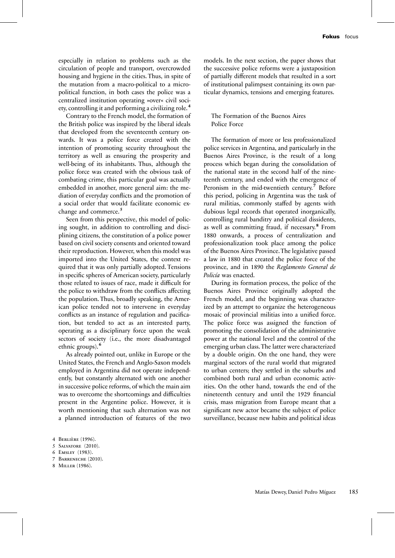especially in relation to problems such as the circulation of people and transport, overcrowded housing and hygiene in the cities. Thus, in spite of the mutation from a macro-political to a micropolitical function, in both cases the police was a centralized institution operating »over« civil society, controlling it and performing a civilizing role.**<sup>4</sup>**

Contrary to the French model, the formation of the British police was inspired by the liberal ideals that developed from the seventeenth century onwards. It was a police force created with the intention of promoting security throughout the territory as well as ensuring the prosperity and well-being of its inhabitants. Thus, although the police force was created with the obvious task of combating crime, this particular goal was actually embedded in another, more general aim: the mediation of everyday conflicts and the promotion of a social order that would facilitate economic exchange and commerce.**<sup>5</sup>**

Seen from this perspective, this model of policing sought, in addition to controlling and disciplining citizens, the constitution of a police power based on civil society consents and oriented toward their reproduction. However, when this model was imported into the United States, the context required that it was only partially adopted. Tensions in specific spheres of American society, particularly those related to issues of race, made it difficult for the police to withdraw from the conflicts affecting the population. Thus, broadly speaking, the American police tended not to intervene in everyday conflicts as an instance of regulation and pacification, but tended to act as an interested party, operating as a disciplinary force upon the weak sectors of society (i.e., the more disadvantaged ethnic groups).**<sup>6</sup>**

As already pointed out, unlike in Europe or the United States, the French and Anglo-Saxon models employed in Argentina did not operate independently, but constantly alternated with one another in successive police reforms, of which the main aim was to overcome the shortcomings and difficulties present in the Argentine police. However, it is worth mentioning that such alternation was not a planned introduction of features of the two

- 7 Barreneche (2010).
- 8 Miller (1986).

models. In the next section, the paper shows that the successive police reforms were a juxtaposition of partially different models that resulted in a sort of institutional palimpsest containing its own particular dynamics, tensions and emerging features.

## The Formation of the Buenos Aires Police Force

The formation of more or less professionalized police services in Argentina, and particularly in the Buenos Aires Province, is the result of a long process which began during the consolidation of the national state in the second half of the nineteenth century, and ended with the emergence of Peronism in the mid-twentieth century.**<sup>7</sup>** Before this period, policing in Argentina was the task of rural militias, commonly staffed by agents with dubious legal records that operated inorganically, controlling rural banditry and political dissidents, as well as committing fraud, if necessary.**<sup>8</sup>** From 1880 onwards, a process of centralization and professionalization took place among the police of the Buenos Aires Province.The legislative passed a law in 1880 that created the police force of the province, and in 1890 the *Reglamento General de Policía* was enacted.

During its formation process, the police of the Buenos Aires Province originally adopted the French model, and the beginning was characterized by an attempt to organize the heterogeneous mosaic of provincial militias into a unified force. The police force was assigned the function of promoting the consolidation of the administrative power at the national level and the control of the emerging urban class.The latter were characterized by a double origin. On the one hand, they were marginal sectors of the rural world that migrated to urban centers; they settled in the suburbs and combined both rural and urban economic activities. On the other hand, towards the end of the nineteenth century and until the 1929 financial crisis, mass migration from Europe meant that a significant new actor became the subject of police surveillance, because new habits and political ideas

<sup>4</sup> Berlière (1996).

<sup>5</sup> Salvatore (2010).

<sup>6</sup> Emsley (1983).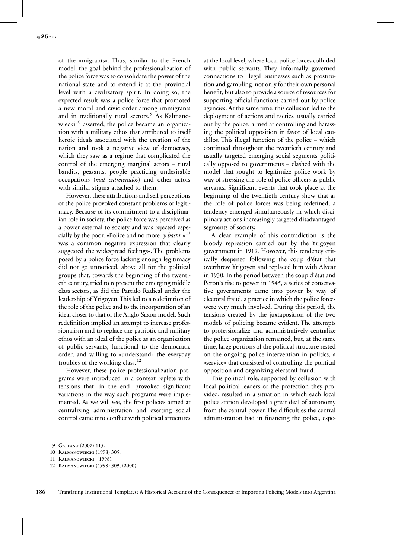of the »migrants«. Thus, similar to the French model, the goal behind the professionalization of the police force was to consolidate the power of the national state and to extend it at the provincial level with a civilizatory spirit. In doing so, the expected result was a police force that promoted a new moral and civic order among immigrants and in traditionally rural sectors. **<sup>9</sup>** As Kalmanowiecki**<sup>10</sup>** asserted, the police became an organization with a military ethos that attributed to itself heroic ideals associated with the creation of the nation and took a negative view of democracy, which they saw as a regime that complicated the control of the emerging marginal actors – rural bandits, peasants, people practicing undesirable occupations (*mal entretenidos*) and other actors with similar stigma attached to them.

However, these attributions and self-perceptions of the police provoked constant problems of legitimacy. Because of its commitment to a disciplinarian role in society, the police force was perceived as a power external to society and was rejected especially by the poor. »Police and no more [*y basta*]«**<sup>11</sup>** was a common negative expression that clearly suggested the widespread feelings«. The problems posed by a police force lacking enough legitimacy did not go unnoticed, above all for the political groups that, towards the beginning of the twentieth century, tried to represent the emerging middle class sectors, as did the Partido Radical under the leadership of Yrigoyen.This led to a redefinition of the role of the police and to the incorporation of an ideal closer to that of the Anglo-Saxon model. Such redefinition implied an attempt to increase professionalism and to replace the patriotic and military ethos with an ideal of the police as an organization of public servants, functional to the democratic order, and willing to »understand« the everyday troubles of the working class.**<sup>12</sup>**

However, these police professionalization programs were introduced in a context replete with tensions that, in the end, provoked significant variations in the way such programs were implemented. As we will see, the first policies aimed at centralizing administration and exerting social control came into conflict with political structures at the local level, where local police forces colluded with public servants. They informally governed connections to illegal businesses such as prostitution and gambling, not only for their own personal benefit, but also to provide a source of resources for supporting official functions carried out by police agencies. At the same time, this collusion led to the deployment of actions and tactics, usually carried out by the police, aimed at controlling and harassing the political opposition in favor of local caudillos. This illegal function of the police – which continued throughout the twentieth century and usually targeted emerging social segments politically opposed to governments – clashed with the model that sought to legitimize police work by way of stressing the role of police officers as public servants. Significant events that took place at the beginning of the twentieth century show that as the role of police forces was being redefined, a tendency emerged simultaneously in which disciplinary actions increasingly targeted disadvantaged segments of society.

A clear example of this contradiction is the bloody repression carried out by the Yrigoyen government in 1919. However, this tendency critically deepened following the coup d'état that overthrew Yrigoyen and replaced him with Alvear in 1930. In the period between the coup d'état and Peron's rise to power in 1945, a series of conservative governments came into power by way of electoral fraud, a practice in which the police forces were very much involved. During this period, the tensions created by the juxtaposition of the two models of policing became evident. The attempts to professionalize and administratively centralize the police organization remained, but, at the same time, large portions of the political structure rested on the ongoing police intervention in politics, a »service« that consisted of controlling the political opposition and organizing electoral fraud.

This political role, supported by collusion with local political leaders or the protection they provided, resulted in a situation in which each local police station developed a great deal of autonomy from the central power. The difficulties the central administration had in financing the police, espe-

<sup>9</sup> Galeano (2007) 115.

<sup>10</sup> Kalmanowiecki (1998) 305.

<sup>11</sup> Kalmanowiecki (1998).

<sup>12</sup> Kalmanowiecki (1998) 309, (2000).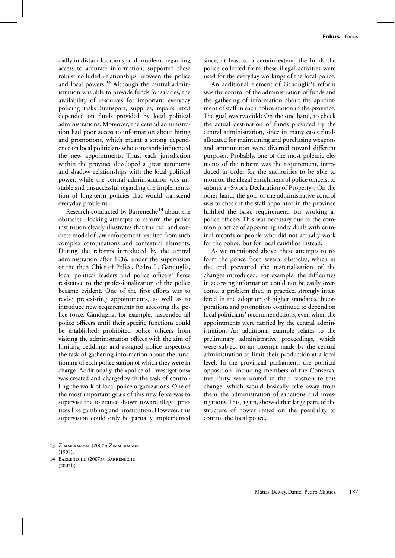cially in distant locations, and problems regarding access to accurate information, supported these robust colluded relationships between the police and local powers. **<sup>13</sup>** Although the central administration was able to provide funds for salaries, the availability of resources for important everyday policing tasks (transport, supplies, repairs, etc.) depended on funds provided by local political administrations. Moreover, the central administration had poor access to information about hiring and promotions, which meant a strong dependence on local politicians who constantly influenced the new appointments. Thus, each jurisdiction within the province developed a great autonomy and shadow relationships with the local political power, while the central administration was unstable and unsuccessful regarding the implementation of long-term policies that would transcend everyday problems.

Research conducted by Barreneche **<sup>14</sup>** about the obstacles blocking attempts to reform the police institution clearly illustrates that the real and concrete model of law enforcement resulted from such complex combinations and contextual elements. During the reforms introduced by the central administration after 1936, under the supervision of the then Chief of Police, Pedro L. Ganduglia, local political leaders and police officers' fierce resistance to the professionalization of the police became evident. One of the first efforts was to revise pre-existing appointments, as well as to introduce new requirements for accessing the police force. Ganduglia, for example, suspended all police officers until their specific functions could be established; prohibited police officers from visiting the administration offices with the aim of limiting peddling; and assigned police inspectors the task of gathering information about the functioning of each police station of which they were in charge. Additionally, the »police of investigations« was created and charged with the task of controlling the work of local police organizations. One of the most important goals of this new force was to supervise the tolerance shown toward illegal practices like gambling and prostitution. However, this supervision could only be partially implemented

since, at least to a certain extent, the funds the police collected from these illegal activities were used for the everyday workings of the local police.

An additional element of Ganduglia's reform was the control of the administration of funds and the gathering of information about the appointment of staff in each police station in the province. The goal was twofold: On the one hand, to check the actual destination of funds provided by the central administration, since in many cases funds allocated for maintaining and purchasing weapons and ammunition were diverted toward different purposes. Probably, one of the most polemic elements of the reform was the requirement, introduced in order for the authorities to be able to monitor the illegal enrichment of police officers, to submit a »Sworn Declaration of Property«. On the other hand, the goal of the administrative control was to check if the staff appointed in the province fulfilled the basic requirements for working as police officers. This was necessary due to the common practice of appointing individuals with criminal records or people who did not actually work for the police, but for local caudillos instead.

As we mentioned above, these attempts to reform the police faced several obstacles, which in the end prevented the materialization of the changes introduced. For example, the difficulties in accessing information could not be easily overcome, a problem that, in practice, strongly interfered in the adoption of higher standards. Incorporations and promotions continued to depend on local politicians' recommendations, even when the appointments were ratified by the central administration. An additional example relates to the preliminary administrative proceedings, which were subject to an attempt made by the central administration to limit their production at a local level. In the provincial parliament, the political opposition, including members of the Conservative Party, were united in their reaction to this change, which would basically take away from them the administration of sanctions and investigations.This, again, showed that large parts of the structure of power rested on the possibility to control the local police.

- 13 Zimmermann (2007); Zimmermann (1998).
- 14 Barreneche (2007a); Barreneche (2007b).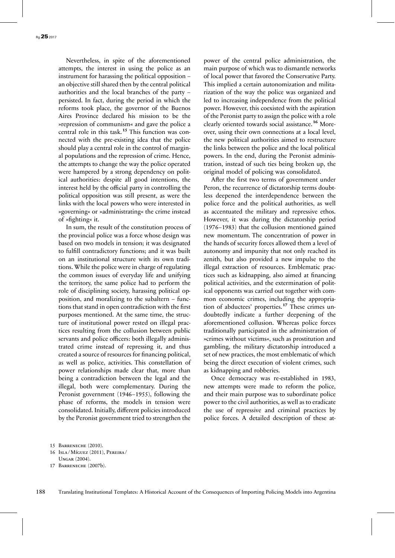Nevertheless, in spite of the aforementioned attempts, the interest in using the police as an instrument for harassing the political opposition – an objective still shared then by the central political authorities and the local branches of the party – persisted. In fact, during the period in which the reforms took place, the governor of the Buenos Aires Province declared his mission to be the »repression of communism« and gave the police a central role in this task.**<sup>15</sup>** This function was connected with the pre-existing idea that the police should play a central role in the control of marginal populations and the repression of crime. Hence, the attempts to change the way the police operated were hampered by a strong dependency on political authorities: despite all good intentions, the interest held by the official party in controlling the political opposition was still present, as were the links with the local powers who were interested in »governing« or »administrating« the crime instead of »fighting« it.

In sum, the result of the constitution process of the provincial police was a force whose design was based on two models in tension; it was designated to fulfill contradictory functions; and it was built on an institutional structure with its own traditions. While the police were in charge of regulating the common issues of everyday life and unifying the territory, the same police had to perform the role of disciplining society, harassing political opposition, and moralizing to the subaltern – functions that stand in open contradiction with the first purposes mentioned. At the same time, the structure of institutional power rested on illegal practices resulting from the collusion between public servants and police officers: both illegally administrated crime instead of repressing it, and thus created a source of resources for financing political, as well as police, activities. This constellation of power relationships made clear that, more than being a contradiction between the legal and the illegal, both were complementary. During the Peronist government (1946–1955), following the phase of reforms, the models in tension were consolidated. Initially, different policies introduced by the Peronist government tried to strengthen the

power of the central police administration, the main purpose of which was to dismantle networks of local power that favored the Conservative Party. This implied a certain autonomization and militarization of the way the police was organized and led to increasing independence from the political power. However, this coexisted with the aspiration of the Peronist party to assign the police with a role clearly oriented towards social assistance.**<sup>16</sup>** Moreover, using their own connections at a local level, the new political authorities aimed to restructure the links between the police and the local political powers. In the end, during the Peronist administration, instead of such ties being broken up, the original model of policing was consolidated.

After the first two terms of government under Peron, the recurrence of dictatorship terms doubtless deepened the interdependence between the police force and the political authorities, as well as accentuated the military and repressive ethos. However, it was during the dictatorship period (1976–1983) that the collusion mentioned gained new momentum. The concentration of power in the hands of security forces allowed them a level of autonomy and impunity that not only reached its zenith, but also provided a new impulse to the illegal extraction of resources. Emblematic practices such as kidnapping, also aimed at financing political activities, and the extermination of political opponents was carried out together with common economic crimes, including the appropriation of abductees' properties.**<sup>17</sup>** These crimes undoubtedly indicate a further deepening of the aforementioned collusion. Whereas police forces traditionally participated in the administration of »crimes without victims«, such as prostitution and gambling, the military dictatorship introduced a set of new practices, the most emblematic of which being the direct execution of violent crimes, such as kidnapping and robberies.

Once democracy was re-established in 1983, new attempts were made to reform the police, and their main purpose was to subordinate police power to the civil authorities, as well as to eradicate the use of repressive and criminal practices by police forces. A detailed description of these at-

<sup>15</sup> Barreneche (2010).

<sup>16</sup> Isla / Míguez (2011), Pereira / Ungar (2004).

<sup>17</sup> Barreneche (2007b).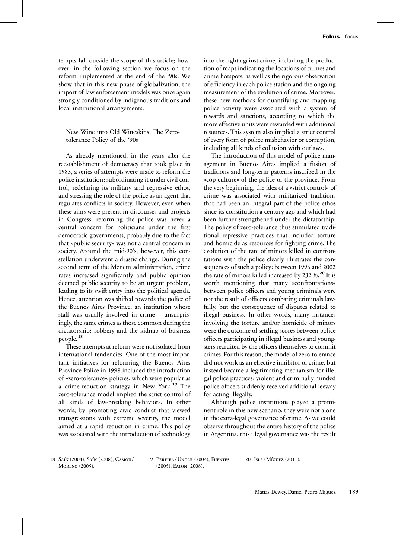tempts fall outside the scope of this article; however, in the following section we focus on the reform implemented at the end of the '90s. We show that in this new phase of globalization, the import of law enforcement models was once again strongly conditioned by indigenous traditions and local institutional arrangements.

New Wine into Old Wineskins: The Zerotolerance Policy of the '90s

As already mentioned, in the years after the reestablishment of democracy that took place in 1983, a series of attempts were made to reform the police institution: subordinating it under civil control, redefining its military and repressive ethos, and stressing the role of the police as an agent that regulates conflicts in society. However, even when these aims were present in discourses and projects in Congress, reforming the police was never a central concern for politicians under the first democratic governments, probably due to the fact that »public security« was not a central concern in society. Around the mid-90's, however, this constellation underwent a drastic change. During the second term of the Menem administration, crime rates increased significantly and public opinion deemed public security to be an urgent problem, leading to its swift entry into the political agenda. Hence, attention was shifted towards the police of the Buenos Aires Province, an institution whose staff was usually involved in crime – unsurprisingly, the same crimes as those common during the dictatorship: robbery and the kidnap of business people.**<sup>18</sup>**

These attempts at reform were not isolated from international tendencies. One of the most important initiatives for reforming the Buenos Aires Province Police in 1998 included the introduction of »zero-tolerance« policies, which were popular as a crime-reduction strategy in New York.**<sup>19</sup>** The zero-tolerance model implied the strict control of all kinds of law-breaking behaviors. In other words, by promoting civic conduct that viewed transgressions with extreme severity, the model aimed at a rapid reduction in crime. This policy was associated with the introduction of technology into the fight against crime, including the production of maps indicating the locations of crimes and crime hotspots, as well as the rigorous observation of efficiency in each police station and the ongoing measurement of the evolution of crime. Moreover, these new methods for quantifying and mapping police activity were associated with a system of rewards and sanctions, according to which the more effective units were rewarded with additional resources. This system also implied a strict control of every form of police misbehavior or corruption, including all kinds of collusion with outlaws.

The introduction of this model of police management in Buenos Aires implied a fusion of traditions and long-term patterns inscribed in the »cop culture« of the police of the province. From the very beginning, the idea of a »strict control« of crime was associated with militarized traditions that had been an integral part of the police ethos since its constitution a century ago and which had been further strengthened under the dictatorship. The policy of zero-tolerance thus stimulated traditional repressive practices that included torture and homicide as resources for fighting crime. The evolution of the rate of minors killed in confrontations with the police clearly illustrates the consequences of such a policy: between 1996 and 2002 the rate of minors killed increased by 232 %.**<sup>20</sup>** It is worth mentioning that many »confrontations« between police officers and young criminals were not the result of officers combating criminals lawfully, but the consequence of disputes related to illegal business. In other words, many instances involving the torture and/or homicide of minors were the outcome of settling scores between police officers participating in illegal business and youngsters recruited by the officers themselves to commit crimes. For this reason, the model of zero-tolerance did not work as an effective inhibitor of crime, but instead became a legitimating mechanism for illegal police practices: violent and criminally minded police officers suddenly received additional leeway for acting illegally.

Although police institutions played a prominent role in this new scenario, they were not alone in the extra-legal governance of crime. As we could observe throughout the entire history of the police in Argentina, this illegal governance was the result

18 Saín (2004); Saín (2008); Camou / Moreno (2005).

19 Pereira / Ungar (2004); Fuentes  $(2005)$ ; EATON  $(2008)$ .

20 Isla / Míguez (2011).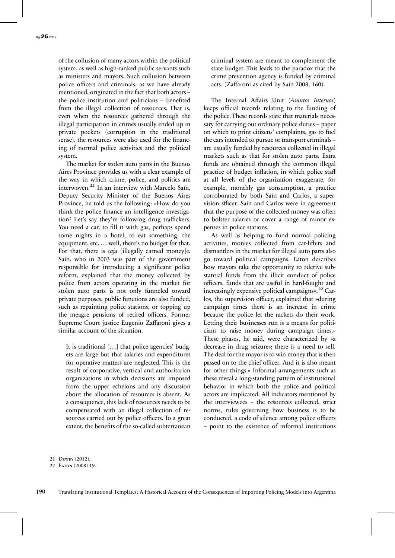of the collusion of many actors within the political system, as well as high-ranked public servants such as ministers and mayors. Such collusion between police officers and criminals, as we have already mentioned, originated in the fact that both actors – the police institution and politicians – benefited from the illegal collection of resources. That is, even when the resources gathered through the illegal participation in crimes usually ended up in private pockets (corruption in the traditional sense), the resources were also used for the financing of normal police activities and the political system.

The market for stolen auto parts in the Buenos Aires Province provides us with a clear example of the way in which crime, police, and politics are interwoven.**<sup>21</sup>** In an interview with Marcelo Saín, Deputy Security Minister of the Buenos Aires Province, he told us the following: »How do you think the police finance an intelligence investigation? Let's say they're following drug traffickers. You need a car, to fill it with gas, perhaps spend some nights in a hotel, to eat something, the equipment, etc. … well, there's no budget for that. For that, there is *caja* [illegally earned money]«. Saín, who in 2003 was part of the government responsible for introducing a significant police reform, explained that the money collected by police from actors operating in the market for stolen auto parts is not only funneled toward private purposes; public functions are also funded, such as repainting police stations, or topping up the meagre pensions of retired officers. Former Supreme Court justice Eugenio Zaffaroni gives a similar account of the situation.

It is traditional […] that police agencies' budgets are large but that salaries and expenditures for operative matters are neglected. This is the result of corporative, vertical and authoritarian organizations in which decisions are imposed from the upper echelons and any discussion about the allocation of resources is absent. As a consequence, this lack of resources needs to be compensated with an illegal collection of resources carried out by police officers. To a great extent, the benefits of the so-called subterranean criminal system are meant to complement the state budget. This leads to the paradox that the crime prevention agency is funded by criminal acts. (Zaffaroni as cited by Saín 2008, 160).

The Internal Affairs Unit (*Asuntos Internos*) keeps official records relating to the funding of the police. These records state that materials necessary for carrying out ordinary police duties – paper on which to print citizens' complaints, gas to fuel the cars intended to pursue or transport criminals – are usually funded by resources collected in illegal markets such as that for stolen auto parts. Extra funds are obtained through the common illegal practice of budget inflation, in which police staff at all levels of the organization exaggerate, for example, monthly gas consumption, a practice corroborated by both Saín and Carlos, a supervision sfficer. Saín and Carlos were in agreement that the purpose of the collected money was often to bolster salaries or cover a range of minor expenses in police stations.

As well as helping to fund normal policing activities, monies collected from car-lifters and dismantlers in the market for illegal auto parts also go toward political campaigns. Eaton describes how mayors take the opportunity to »derive substantial funds from the illicit conduct of police officers, funds that are useful in hard-fought and increasingly expensive political campaigns«. **<sup>22</sup>** Carlos, the supervision officer, explained that »during campaign times there is an increase in crime because the police let the rackets do their work. Letting their businesses run is a means for politicians to raise money during campaign times.« These phases, he said, were characterized by »a decrease in drug seizures; there is a need to sell. The deal for the mayor is to win money that is then passed on to the chief officer. And it is also meant for other things.« Informal arrangements such as these reveal a long-standing pattern of institutional behavior in which both the police and political actors are implicated. All indicators mentioned by the interviewees – the resources collected, strict norms, rules governing how business is to be conducted, a code of silence among police officers – point to the existence of informal institutions

<sup>21</sup> Dewey (2012).

<sup>22</sup> Eaton (2008) 19.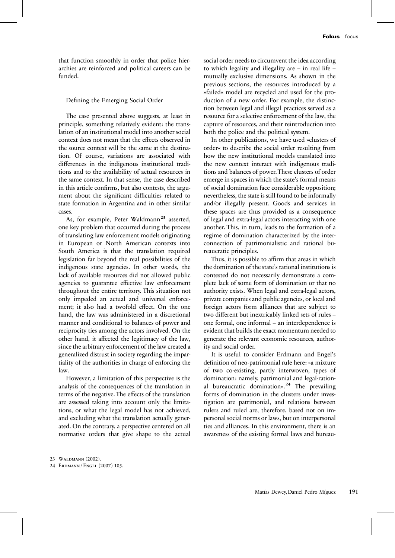that function smoothly in order that police hierarchies are reinforced and political careers can be funded.

### Defining the Emerging Social Order

The case presented above suggests, at least in principle, something relatively evident: the translation of an institutional model into another social context does not mean that the effects observed in the source context will be the same at the destination. Of course, variations are associated with differences in the indigenous institutional traditions and to the availability of actual resources in the same context. In that sense, the case described in this article confirms, but also contests, the argument about the significant difficulties related to state formation in Argentina and in other similar cases.

As, for example, Peter Waldmann<sup>23</sup> asserted, one key problem that occurred during the process of translating law enforcement models originating in European or North American contexts into South America is that the translation required legislation far beyond the real possibilities of the indigenous state agencies. In other words, the lack of available resources did not allowed public agencies to guarantee effective law enforcement throughout the entire territory. This situation not only impeded an actual and universal enforcement; it also had a twofold effect. On the one hand, the law was administered in a discretional manner and conditional to balances of power and reciprocity ties among the actors involved. On the other hand, it affected the legitimacy of the law, since the arbitrary enforcement of the law created a generalized distrust in society regarding the impartiality of the authorities in charge of enforcing the law.

However, a limitation of this perspective is the analysis of the consequences of the translation in terms of the negative. The effects of the translation are assessed taking into account only the limitations, or what the legal model has not achieved, and excluding what the translation actually generated. On the contrary, a perspective centered on all normative orders that give shape to the actual social order needs to circumvent the idea according to which legality and illegality are – in real life – mutually exclusive dimensions. As shown in the previous sections, the resources introduced by a »failed« model are recycled and used for the production of a new order. For example, the distinction between legal and illegal practices served as a resource for a selective enforcement of the law, the capture of resources, and their reintroduction into both the police and the political system.

In other publications, we have used »clusters of order« to describe the social order resulting from how the new institutional models translated into the new context interact with indigenous traditions and balances of power.These clusters of order emerge in spaces in which the state's formal means of social domination face considerable opposition; nevertheless, the state is still found to be informally and/or illegally present. Goods and services in these spaces are thus provided as a consequence of legal and extra-legal actors interacting with one another. This, in turn, leads to the formation of a regime of domination characterized by the interconnection of patrimonialistic and rational bureaucratic principles.

Thus, it is possible to affirm that areas in which the domination of the state's rational institutions is contested do not necessarily demonstrate a complete lack of some form of domination or that no authority exists. When legal and extra-legal actors, private companies and public agencies, or local and foreign actors form alliances that are subject to two different but inextricably linked sets of rules – one formal, one informal – an interdependence is evident that builds the exact momentum needed to generate the relevant economic resources, authority and social order.

It is useful to consider Erdmann and Engel's definition of neo-patrimonial rule here: »a mixture of two co-existing, partly interwoven, types of domination: namely, patrimonial and legal-rational bureaucratic domination«.**<sup>24</sup>** The prevailing forms of domination in the clusters under investigation are patrimonial, and relations between rulers and ruled are, therefore, based not on impersonal social norms or laws, but on interpersonal ties and alliances. In this environment, there is an awareness of the existing formal laws and bureau-

24 Erdmann / Engel (2007) 105.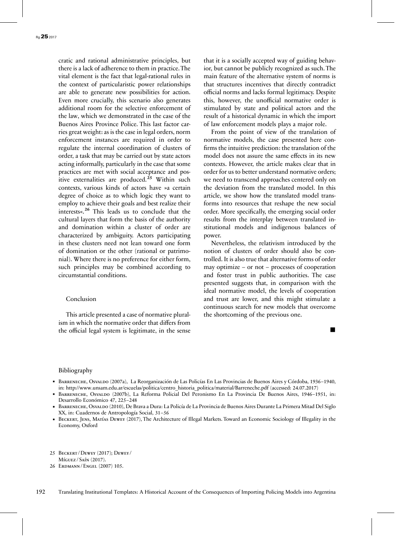cratic and rational administrative principles, but there is a lack of adherence to them in practice.The vital element is the fact that legal-rational rules in the context of particularistic power relationships are able to generate new possibilities for action. Even more crucially, this scenario also generates additional room for the selective enforcement of the law, which we demonstrated in the case of the Buenos Aires Province Police. This last factor carries great weight: as is the case in legal orders, norm enforcement instances are required in order to regulate the internal coordination of clusters of order, a task that may be carried out by state actors acting informally, particularly in the case that some practices are met with social acceptance and positive externalities are produced. **<sup>25</sup>** Within such contexts, various kinds of actors have »a certain degree of choice as to which logic they want to employ to achieve their goals and best realize their interests«.**<sup>26</sup>** This leads us to conclude that the cultural layers that form the basis of the authority and domination within a cluster of order are characterized by ambiguity. Actors participating in these clusters need not lean toward one form of domination or the other (rational or patrimonial). Where there is no preference for either form, such principles may be combined according to circumstantial conditions.

#### Conclusion

This article presented a case of normative pluralism in which the normative order that differs from the official legal system is legitimate, in the sense that it is a socially accepted way of guiding behavior, but cannot be publicly recognized as such. The main feature of the alternative system of norms is that structures incentives that directly contradict official norms and lacks formal legitimacy. Despite this, however, the unofficial normative order is stimulated by state and political actors and the result of a historical dynamic in which the import of law enforcement models plays a major role.

From the point of view of the translation of normative models, the case presented here confirms the intuitive prediction: the translation of the model does not assure the same effects in its new contexts. However, the article makes clear that in order for us to better understand normative orders; we need to transcend approaches centered only on the deviation from the translated model. In this article, we show how the translated model transforms into resources that reshape the new social order. More specifically, the emerging social order results from the interplay between translated institutional models and indigenous balances of power.

Nevertheless, the relativism introduced by the notion of clusters of order should also be controlled. It is also true that alternative forms of order may optimize – or not – processes of cooperation and foster trust in public authorities. The case presented suggests that, in comparison with the ideal normative model, the levels of cooperation and trust are lower, and this might stimulate a continuous search for new models that overcome the shortcoming of the previous one.

# 

#### Bibliography

- Barreneche, Osvaldo (2007a), La Reorganización de Las Policías En Las Provincias de Buenos Aires y Córdoba, 1936–1940, in: http://www.unsam.edu.ar/escuelas/politica/centro\_historia\_politica/material/Barreneche.pdf (accessed: 24.07.2017)
- Barreneche, Osvaldo (2007b), La Reforma Policial Del Peronismo En La Provincia De Buenos Aires, 1946–1951, in: Desarrollo Económico 47, 225–248
- Barreneche, Osvaldo (2010), De Brava a Dura: La Policía de La Provincia de Buenos Aires Durante La Primera Mitad Del Siglo XX, in: Cuadernos de Antropología Social, 31–56
- BECKERT, JENS, MATÍAS DEWEY (2017), The Architecture of Illegal Markets. Toward an Economic Sociology of Illegality in the Economy, Oxford
- 25 Beckert / Dewey (2017); Dewey / Míguez / Saín (2017).
- 26 Erdmann / Engel (2007) 105.

192 Translating Institutional Templates: A Historical Account of the Consequences of Importing Policing Models into Argentina